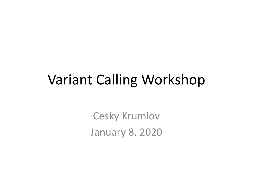#### Variant Calling Workshop

Cesky Krumlov January 8, 2020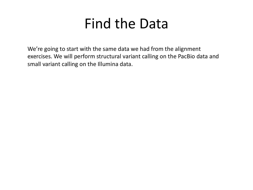#### Find the Data

We're going to start with the same data we had from the alignment exercises. We will perform structural variant calling on the PacBio data and small variant calling on the Illumina data.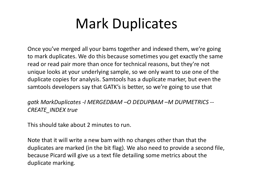## Mark Duplicates

Once you've merged all your bams together and indexed them, we're going to mark duplicates. We do this because sometimes you get exactly the same read or read pair more than once for technical reasons, but they're not unique looks at your underlying sample, so we only want to use one of the duplicate copies for analysis. Samtools has a duplicate marker, but even the samtools developers say that GATK's is better, so we're going to use that

*gatk MarkDuplicates -I MERGEDBAM –O DEDUPBAM –M DUPMETRICS -- CREATE\_INDEX true*

This should take about 2 minutes to run.

Note that it will write a new bam with no changes other than that the duplicates are marked (in the bit flag). We also need to provide a second file, because Picard will give us a text file detailing some metrics about the duplicate marking.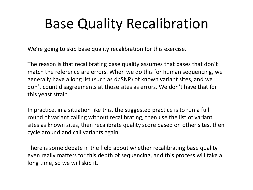## Base Quality Recalibration

We're going to skip base quality recalibration for this exercise.

The reason is that recalibrating base quality assumes that bases that don't match the reference are errors. When we do this for human sequencing, we generally have a long list (such as dbSNP) of known variant sites, and we don't count disagreements at those sites as errors. We don't have that for this yeast strain.

In practice, in a situation like this, the suggested practice is to run a full round of variant calling without recalibrating, then use the list of variant sites as known sites, then recalibrate quality score based on other sites, then cycle around and call variants again.

There is some debate in the field about whether recalibrating base quality even really matters for this depth of sequencing, and this process will take a long time, so we will skip it.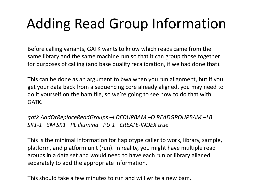# Adding Read Group Information

Before calling variants, GATK wants to know which reads came from the same library and the same machine run so that it can group those together for purposes of calling (and base quality recalibration, if we had done that).

This can be done as an argument to bwa when you run alignment, but if you get your data back from a sequencing core already aligned, you may need to do it yourself on the bam file, so we're going to see how to do that with GATK.

*gatk AddOrReplaceReadGroups –I DEDUPBAM –O READGROUPBAM –LB SK1-1 –SM SK1 –PL Illumina –PU 1 –CREATE-INDEX true*

This is the minimal information for haplotype caller to work, library, sample, platform, and platform unit (run). In reality, you might have multiple read groups in a data set and would need to have each run or library aligned separately to add the appropriate information.

This should take a few minutes to run and will write a new bam.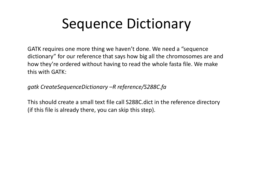## Sequence Dictionary

GATK requires one more thing we haven't done. We need a "sequence dictionary" for our reference that says how big all the chromosomes are and how they're ordered without having to read the whole fasta file. We make this with GATK:

*gatk CreateSequenceDictionary –R reference/S288C.fa*

This should create a small text file call S288C.dict in the reference directory (if this file is already there, you can skip this step).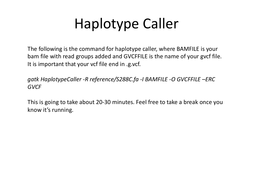# Haplotype Caller

The following is the command for haplotype caller, where BAMFILE is your bam file with read groups added and GVCFFILE is the name of your gvcf file. It is important that your vcf file end in .g.vcf.

*gatk HaplotypeCaller -R reference/S288C.fa -I BAMFILE -O GVCFFILE –ERC GVCF*

This is going to take about 20-30 minutes. Feel free to take a break once you know it's running.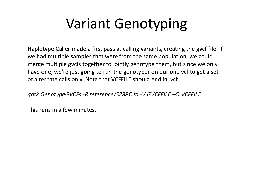## Variant Genotyping

Haplotype Caller made a first pass at calling variants, creating the gvcf file. If we had multiple samples that were from the same population, we could merge multiple gvcfs together to jointly genotype them, but since we only have one, we're just going to run the genotyper on our one vcf to get a set of alternate calls only. Note that VCFFILE should end in .vcf.

*gatk GenotypeGVCFs -R reference/S288C.fa -V GVCFFILE –O VCFFILE*

This runs in a few minutes.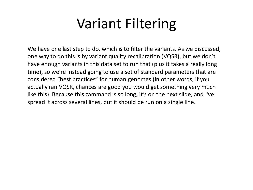## Variant Filtering

We have one last step to do, which is to filter the variants. As we discussed, one way to do this is by variant quality recalibration (VQSR), but we don't have enough variants in this data set to run that (plus it takes a really long time), so we're instead going to use a set of standard parameters that are considered "best practices" for human genomes (in other words, if you actually ran VQSR, chances are good you would get something very much like this). Because this cammand is so long, it's on the next slide, and I've spread it across several lines, but it should be run on a single line.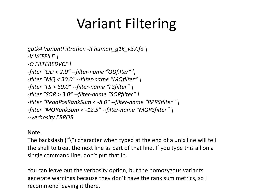## Variant Filtering

*gatk4 VariantFiltration -R human\_g1k\_v37.fa \ -V VCFFILE \ -O FILTEREDVCF \ -filter "QD < 2.0" --filter-name "QDfilter" \ -filter "MQ < 30.0" --filter-name "MQfilter" \ -filter "FS > 60.0" --filter-name "FSfilter" \ -filter "SOR > 3.0" --filter-name "SORfilter" \ -filter "ReadPosRankSum < -8.0" --filter-name "RPRSfilter" \ -filter "MQRankSum < -12.5" --filter-name "MQRSfilter" \ --verbosity ERROR*

#### Note:

The backslash ("\") character when typed at the end of a unix line will tell the shell to treat the next line as part of that line. If you type this all on a single command line, don't put that in.

You can leave out the verbosity option, but the homozygous variants generate warnings because they don't have the rank sum metrics, so I recommend leaving it there.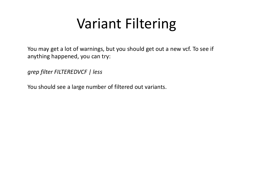## Variant Filtering

You may get a lot of warnings, but you should get out a new vcf. To see if anything happened, you can try:

*grep filter FILTEREDVCF | less*

You should see a large number of filtered out variants.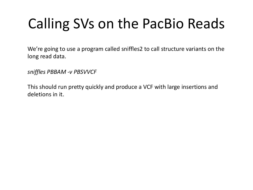# Calling SVs on the PacBio Reads

We're going to use a program called sniffles2 to call structure variants on the long read data.

*sniffles PBBAM -v PBSVVCF*

This should run pretty quickly and produce a VCF with large insertions and deletions in it.